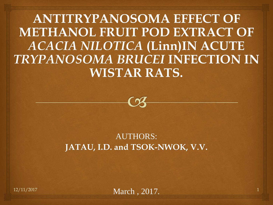**ANTITRYPANOSOMA EFFECT OF METHANOL FRUIT POD EXTRACT OF**  *ACACIA NILOTICA* **(Linn)IN ACUTE**  *TRYPANOSOMA BRUCEI* **INFECTION IN WISTAR RATS.**



#### AUTHORS: **JATAU, I.D. and TSOK-NWOK, V.V.**

12/11/2017 1 March , 2017.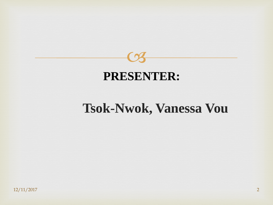

### **PRESENTER:**

## **Tsok-Nwok, Vanessa Vou**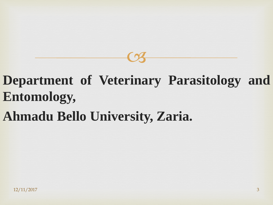## **Department of Veterinary Parasitology and Entomology,**

 $C<sub>3</sub>$ 

## **Ahmadu Bello University, Zaria.**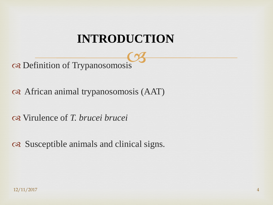## **INTRODUCTION**

Definition of Trypanosomosis

African animal trypanosomosis (AAT)

Virulence of *T. brucei brucei*

Susceptible animals and clinical signs.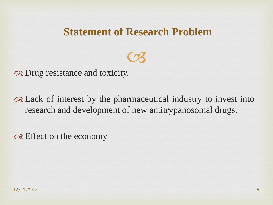### **Statement of Research Problem**

 $C<sub>3</sub>$ 

Drug resistance and toxicity.

 Lack of interest by the pharmaceutical industry to invest into research and development of new antitrypanosomal drugs.

one Effect on the economy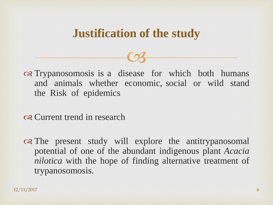### **Justification of the study**

 $C<sub>3</sub>$ 

or Trypanosomosis is a disease for which both humans and animals whether economic, social or wild stand the Risk of epidemics

os Current trend in research

on The present study will explore the antitrypanosomal potential of one of the abundant indigenous plant *Acacia nilotica* with the hope of finding alternative treatment of trypanosomosis.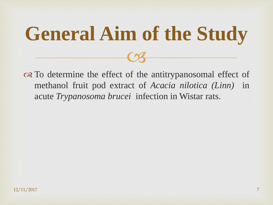# $C<sub>3</sub>$ **General Aim of the Study**

 To determine the effect of the antitrypanosomal effect of methanol fruit pod extract of *Acacia nilotica (Linn)* in acute *Trypanosoma brucei* infection in Wistar rats.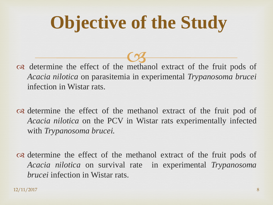# **Objective of the Study**

 determine the effect of the  $\frac{C}{C}$ methanol extract of the fruit pods of *Acacia nilotica* on parasitemia in experimental *Trypanosoma brucei* infection in Wistar rats.

 determine the effect of the methanol extract of the fruit pod of *Acacia nilotica* on the PCV in Wistar rats experimentally infected with *Trypanosoma brucei.*

 determine the effect of the methanol extract of the fruit pods of *Acacia nilotica* on survival rate in experimental *Trypanosoma brucei* infection in Wistar rats.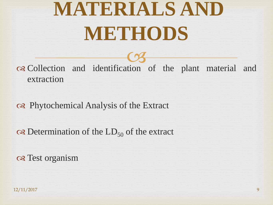# **MATERIALS AND METHODS**

 Collection and identification CS of the plant material and extraction

#### Phytochemical Analysis of the Extract

 $\infty$  Determination of the LD<sub>50</sub> of the extract

os Test organism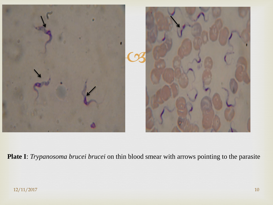

**Plate I**: *Trypanosoma brucei brucei* on thin blood smear with arrows pointing to the parasite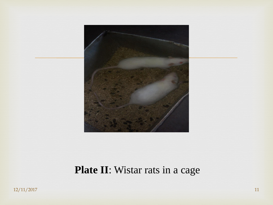

### **Plate II**: Wistar rats in a cage

12/11/2017 11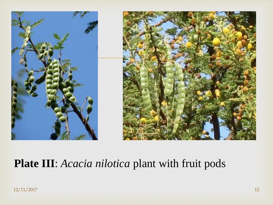

### **Plate III**: *Acacia nilotica* plant with fruit pods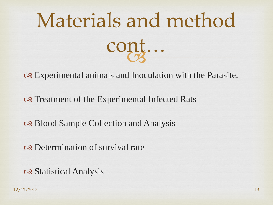

Experimental animals and Inoculation with the Parasite.

on Treatment of the Experimental Infected Rats

or Blood Sample Collection and Analysis

Determination of survival rate

Statistical Analysis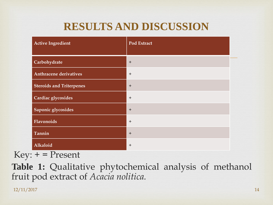### **RESULTS AND DISCUSSION**

| <b>Active Ingredient</b>        | Pod Extract |
|---------------------------------|-------------|
| Carbohydrate                    | $+$         |
| <b>Anthracene derivatives</b>   | $+$         |
| <b>Steroids and Triterpenes</b> | $+$         |
| Cardiac glycosides              | $+$         |
| Saponic glycosides              | $+$         |
| Flavonoids                      | $+$         |
| Tannin                          | $+$         |
| Alkaloid                        | $+$         |

 $Key: + = Present$ 

**Table 1:** Qualitative phytochemical analysis of methanol fruit pod extract of *Acacia nolitica.*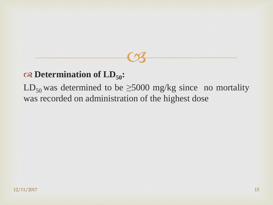### $\infty$  Determination of  $LD_{50}$ :

 $LD_{50}$  was determined to be  $\geq$ 5000 mg/kg since no mortality was recorded on administration of the highest dose

 $C<sub>3</sub>$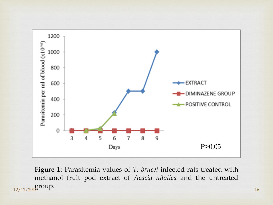

**Figure 1**: Parasitemia values of *T. brucei* infected rats treated with methanol fruit pod extract of *Acacia nilotica* and the untreated  $\frac{12}{11/201}$ group.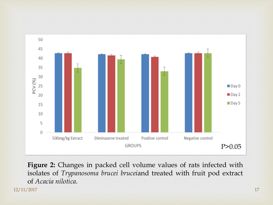

**Figure 2:** Changes in packed cell volume values of rats infected with isolates of *Trypanosoma brucei brucei*and treated with fruit pod extract of *Acacia nilotica.*

12/11/2017 17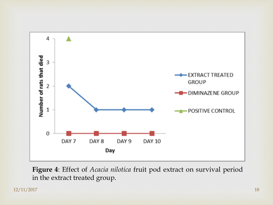

**Figure 4**: Effect of *Acacia nilotica* fruit pod extract on survival period in the extract treated group.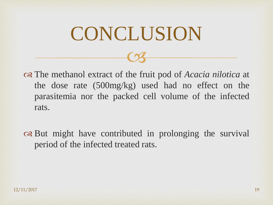# CONCLUSION

 $C<sub>3</sub>$ 

 The methanol extract of the fruit pod of *Acacia nilotica* at the dose rate (500mg/kg) used had no effect on the parasitemia nor the packed cell volume of the infected rats.

on But might have contributed in prolonging the survival period of the infected treated rats.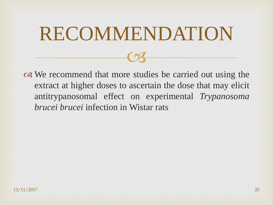# RECOMMENDATION

 $\heartsuit$ 

ora We recommend that more studies be carried out using the extract at higher doses to ascertain the dose that may elicit antitrypanosomal effect on experimental *Trypanosoma brucei brucei* infection in Wistar rats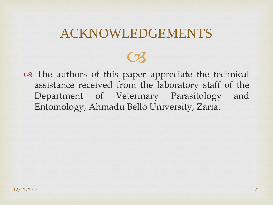## ACKNOWLEDGEMENTS

 $\heartsuit$ 

 The authors of this paper appreciate the technical assistance received from the laboratory staff of the Department of Veterinary Parasitology and Entomology, Ahmadu Bello University, Zaria.